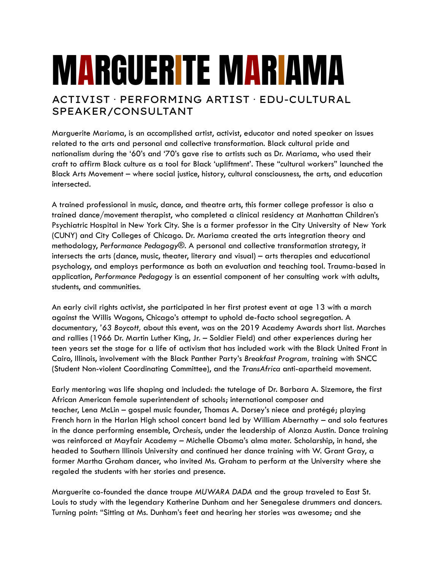## MARGUERITE MARIAMA

## ACTIVIST · PERFORMING ARTIST · EDU-CULTURAL SPEAKER/CONSULTANT

Marguerite Mariama, is an accomplished artist, activist, educator and noted speaker on issues related to the arts and personal and collective transformation. Black cultural pride and nationalism during the '60's and '70's gave rise to artists such as Dr. Mariama, who used their craft to affirm Black culture as a tool for Black 'upliftment'. These "cultural workers" launched the Black Arts Movement – where social justice, history, cultural consciousness, the arts, and education intersected.

A trained professional in music, dance, and theatre arts, this former college professor is also a trained dance/movement therapist, who completed a clinical residency at Manhattan Children's Psychiatric Hospital in New York City. She is a former professor in the City University of New York (CUNY) and City Colleges of Chicago. Dr. Mariama created the arts integration theory and methodology, *Performance Pedagogy®.* A personal and collective transformation strategy, it intersects the arts (dance, music, theater, literary and visual) – arts therapies and educational psychology, and employs performance as both an evaluation and teaching tool. Trauma-based in application, *Performance Pedagogy* is an essential component of her consulting work with adults, students, and communities.

An early civil rights activist, she participated in her first protest event at age 13 with a march against the Willis Wagons, Chicago's attempt to uphold de-facto school segregation. A documentary, *'63 Boycott,* about this event, was on the 2019 Academy Awards short list. Marches and rallies (1966 Dr. Martin Luther King, Jr. – Soldier Field) and other experiences during her teen years set the stage for a life of activism that has included work with the Black United Front in Cairo, Illinois, involvement with the Black Panther Party's *Breakfast Program,* training with SNCC (Student Non-violent Coordinating Committee), and the *TransAfrica* anti-apartheid movement.

Early mentoring was life shaping and included: the tutelage of Dr. Barbara A. Sizemore, the first African American female superintendent of schools; international composer and teacher, Lena McLin – gospel music founder, Thomas A. Dorsey's niece and protégé; playing French horn in the Harlan High school concert band led by William Abernathy – and solo features in the dance performing ensemble, *Orchesi*s, under the leadership of Alonza Austin. Dance training was reinforced at Mayfair Academy – Michelle Obama's alma mater. Scholarship, in hand, she headed to Southern Illinois University and continued her dance training with W. Grant Gray, a former Martha Graham dancer, who invited Ms. Graham to perform at the University where she regaled the students with her stories and presence.

Marguerite co-founded the dance troupe *MUWARA DADA* and the group traveled to East St. Louis to study with the legendary Katherine Dunham and her Senegalese drummers and dancers. Turning point: "Sitting at Ms. Dunham's feet and hearing her stories was awesome; and she